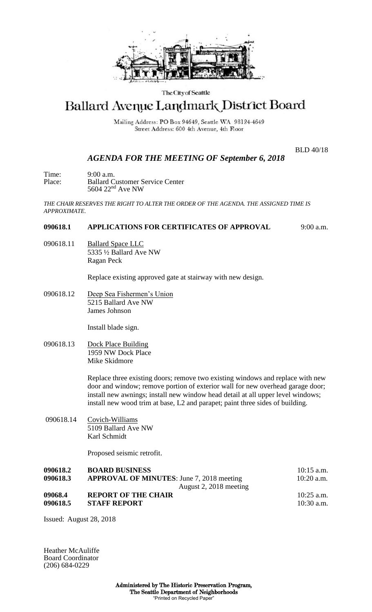

#### The City of Seattle

# Ballard Avenue Landmark District Board

Mailing Address: PO Box 94649, Seattle WA 98124-4649 Street Address: 600 4th Avenue, 4th Floor

BLD 40/18

## *AGENDA FOR THE MEETING OF September 6, 2018*

Time: 9:00 a.m. Place: Ballard Customer Service Center 5604 22nd Ave NW

*THE CHAIR RESERVES THE RIGHT TO ALTER THE ORDER OF THE AGENDA. THE ASSIGNED TIME IS APPROXIMATE.*

## **090618.1 APPLICATIONS FOR CERTIFICATES OF APPROVAL** 9:00 a.m.

090618.11 Ballard Space LLC 5335 ½ Ballard Ave NW Ragan Peck

Replace existing approved gate at stairway with new design.

090618.12 Deep Sea Fishermen's Union 5215 Ballard Ave NW James Johnson

Install blade sign.

090618.13 Dock Place Building 1959 NW Dock Place Mike Skidmore

> Replace three existing doors; remove two existing windows and replace with new door and window; remove portion of exterior wall for new overhead garage door; install new awnings; install new window head detail at all upper level windows; install new wood trim at base, L2 and parapet; paint three sides of building.

090618.14 Covich-Williams 5109 Ballard Ave NW Karl Schmidt

Proposed seismic retrofit.

| 090618.2 | <b>BOARD BUSINESS</b>                            | $10:15$ a.m. |
|----------|--------------------------------------------------|--------------|
| 090618.3 | <b>APPROVAL OF MINUTES:</b> June 7, 2018 meeting | $10:20$ a.m. |
|          | August 2, 2018 meeting                           |              |
| 09068.4  | <b>REPORT OF THE CHAIR</b>                       | $10:25$ a.m. |
| 090618.5 | <b>STAFF REPORT</b>                              | $10:30$ a.m. |

Issued: August 28, 2018

Heather McAuliffe Board Coordinator (206) 684-0229